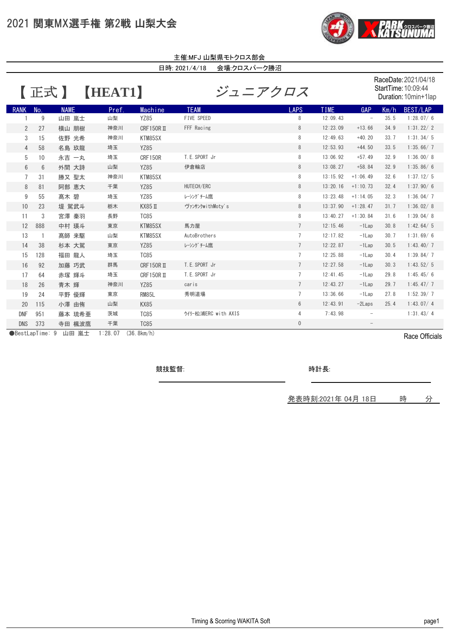## 2021 関東MX選手権 第2戦 山梨大会



| 主催:MFJ 山梨県モトクロス部会            |              |             |       |               |                     |                                                                     |             |                          |      |           |  |
|------------------------------|--------------|-------------|-------|---------------|---------------------|---------------------------------------------------------------------|-------------|--------------------------|------|-----------|--|
| 会場:クロスパーク勝沼<br>日時: 2021/4/18 |              |             |       |               |                     |                                                                     |             |                          |      |           |  |
| <b>HEATT</b><br>【正式】         |              |             |       |               | ジュニアクロス             | RaceDate: 2021/04/18<br>StartTime: 10:09:44<br>Duration: 10min+1lap |             |                          |      |           |  |
| <b>RANK</b>                  | No.          | <b>NAME</b> | Pref. | Machine       | <b>TEAM</b>         | <b>LAPS</b>                                                         | <b>TIME</b> | <b>GAP</b>               | Km/h | BEST/LAP  |  |
|                              | 9            | 山田 嵐士       | 山梨    | <b>YZ85</b>   | FIVE SPEED          | 8                                                                   | 12:09.43    | $\overline{\phantom{a}}$ | 35.5 | 1:28.07/6 |  |
| $\overline{2}$               | 27           | 横山 朋樹       | 神奈川   | $CRF150R$ II  | FFF Racing          | 8                                                                   | 12:23.09    | $+13.66$                 | 34.9 | 1:31.22/2 |  |
| 3                            | 15           | 佐野 光希       | 神奈川   | KTM85SX       |                     | 8                                                                   | 12:49.63    | $+40.20$                 | 33.7 | 1:31.34/5 |  |
| $\overline{4}$               | 58           | 名島 玖龍       | 埼玉    | <b>YZ85</b>   |                     | 8                                                                   | 12:53.93    | $+44.50$                 | 33.5 | 1:35.66/7 |  |
| 5                            | 10           | 永吉一丸        | 埼玉    | CRF150R       | T. E. SPORT Jr      | 8                                                                   | 13:06.92    | $+57.49$                 | 32.9 | 1:36.00/8 |  |
| $6\phantom{.}$               | 6            | 外間 大詩       | 山梨    | <b>YZ85</b>   | 伊倉輪店                | 8                                                                   | 13:08.27    | $+58.84$                 | 32.9 | 1:35.86/6 |  |
| $\overline{7}$               | 31           | 勝又 聖太       | 神奈川   | KTM85SX       |                     | 8                                                                   | 13:15.92    | $+1:06.49$               | 32.6 | 1:37.12/5 |  |
| 8                            | 81           | 阿部 恵大       | 千葉    | <b>YZ85</b>   | HUTECH/ERC          | 8                                                                   | 13:20.16    | $+1:10.73$               | 32.4 | 1:37.90/6 |  |
| 9                            | 55           | 髙木 碧        | 埼玉    | <b>YZ85</b>   | レーシングチーム鷹           | 8                                                                   | 13:23.48    | $+1:14.05$               | 32.3 | 1:36.04/7 |  |
| 10                           | 23           | 堤 駕武斗       | 栃木    | <b>КХ85 П</b> | ヴァンサンクwithMoty's    | 8                                                                   | 13:37.90    | $+1:28.47$               | 31.7 | 1:36.02/8 |  |
| 11                           | 3            | 宮澤 秦羽       | 長野    | <b>TC85</b>   |                     | 8                                                                   | 13:40.27    | $+1:30.84$               | 31.6 | 1:39.04/8 |  |
| 12                           | 888          | 中村 瑛斗       | 東京    | KTM85SX       | 馬力屋                 | $7\overline{ }$                                                     | 12:15.46    | $-1$ Lap                 | 30.8 | 1:42.64/5 |  |
| 13                           | $\mathbf{1}$ | 高師 来駆       | 山梨    | KTM85SX       | AutoBrothers        | $7\overline{ }$                                                     | 12:17.82    | $-1$ Lap                 | 30.7 | 1:31.69/6 |  |
| 14                           | 38           | 杉本 大駕       | 東京    | <b>YZ85</b>   | レーシングチーム鷹           | $\overline{7}$                                                      | 12:22.87    | $-1$ Lap                 | 30.5 | 1:43.40/7 |  |
| 15                           | 128          | 福田 龍人       | 埼玉    | <b>TC85</b>   |                     | $7\phantom{.0}$                                                     | 12:25.88    | $-1$ Lap                 | 30.4 | 1:39.84/7 |  |
| 16                           | 92           | 加藤 巧武       | 群馬    | CRF150R II    | T. E. SPORT Jr      | $7\overline{ }$                                                     | 12:27.58    | $-1$ Lap                 | 30.3 | 1:43.52/5 |  |
| 17                           | 64           | 赤塚 輝斗       | 埼玉    | CRF150R II    | T. E. SPORT Jr      | $\overline{7}$                                                      | 12:41.45    | $-1$ Lap                 | 29.8 | 1:45.45/6 |  |
| 18                           | 26           | 青木 輝        | 神奈川   | <b>YZ85</b>   | caris               | $7\overline{ }$                                                     | 12:43.27    | $-1$ Lap                 | 29.7 | 1:45.47/7 |  |
| 19                           | 24           | 平野 優輝       | 東京    | <b>RM85L</b>  | 秀明道場                | $\overline{7}$                                                      | 13:36.66    | $-1$ Lap                 | 27.8 | 1:52.39/7 |  |
| 20                           | 115          | 小澤 由侑       | 山梨    | <b>KX85</b>   |                     | 6                                                                   | 12:43.91    | $-2$ <i>Laps</i>         | 25.4 | 1:43.07/4 |  |
| <b>DNF</b>                   | 951          | 藤本 琉希亜      | 茨城    | <b>TC85</b>   | ウィリー松浦ERC with AXIS | $\overline{4}$                                                      | 7:43.98     | $\overline{\phantom{a}}$ |      | 1:31.43/4 |  |
| <b>DNS</b>                   | 373          | 寺田 楓波鷹      | 千葉    | <b>TC85</b>   |                     | $\mathbf 0$                                                         |             | $\qquad \qquad -$        |      |           |  |

●BestLapTime: 9 山田 嵐士 1:28.07 (36.8km/h)

競技監督:

時計長:

発表時刻:2021年 04月 18日 時 分

Race Officials